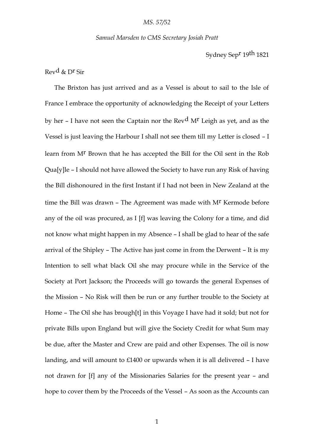#### *Samuel Marsden to CMS Secretary Josiah Pratt*

Sydney Sepr 19th 1821

# Revd & Dr Sir

The Brixton has just arrived and as a Vessel is about to sail to the Isle of France I embrace the opportunity of acknowledging the Receipt of your Letters by her – I have not seen the Captain nor the Rev<sup>d</sup> M<sup>r</sup> Leigh as yet, and as the Vessel is just leaving the Harbour I shall not see them till my Letter is closed – I learn from Mr Brown that he has accepted the Bill for the Oil sent in the Rob Qua[y]le – I should not have allowed the Society to have run any Risk of having the Bill dishonoured in the first Instant if I had not been in New Zealand at the time the Bill was drawn - The Agreement was made with M<sup>r</sup> Kermode before any of the oil was procured, as I [f] was leaving the Colony for a time, and did not know what might happen in my Absence – I shall be glad to hear of the safe arrival of the Shipley – The Active has just come in from the Derwent – It is my Intention to sell what black Oil she may procure while in the Service of the Society at Port Jackson; the Proceeds will go towards the general Expenses of the Mission – No Risk will then be run or any further trouble to the Society at Home – The Oil she has brough[t] in this Voyage I have had it sold; but not for private Bills upon England but will give the Society Credit for what Sum may be due, after the Master and Crew are paid and other Expenses. The oil is now landing, and will amount to £1400 or upwards when it is all delivered – I have not drawn for [f] any of the Missionaries Salaries for the present year – and hope to cover them by the Proceeds of the Vessel – As soon as the Accounts can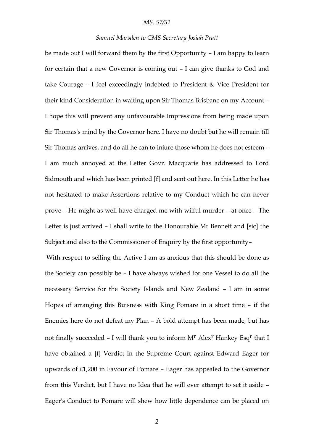### *MS. 57/52*

## *Samuel Marsden to CMS Secretary Josiah Pratt*

be made out I will forward them by the first Opportunity – I am happy to learn for certain that a new Governor is coming out – I can give thanks to God and take Courage – I feel exceedingly indebted to President & Vice President for their kind Consideration in waiting upon Sir Thomas Brisbane on my Account – I hope this will prevent any unfavourable Impressions from being made upon Sir Thomas's mind by the Governor here. I have no doubt but he will remain till Sir Thomas arrives, and do all he can to injure those whom he does not esteem – I am much annoyed at the Letter Govr. Macquarie has addressed to Lord Sidmouth and which has been printed [f] and sent out here. In this Letter he has not hesitated to make Assertions relative to my Conduct which he can never prove – He might as well have charged me with wilful murder – at once – The Letter is just arrived – I shall write to the Honourable Mr Bennett and [sic] the Subject and also to the Commissioner of Enquiry by the first opportunity–

With respect to selling the Active I am as anxious that this should be done as the Society can possibly be – I have always wished for one Vessel to do all the necessary Service for the Society Islands and New Zealand – I am in some Hopes of arranging this Buisness with King Pomare in a short time – if the Enemies here do not defeat my Plan – A bold attempt has been made, but has not finally succeeded - I will thank you to inform M<sup>r</sup> Alex<sup>r</sup> Hankey Esq<sup>r</sup> that I have obtained a [f] Verdict in the Supreme Court against Edward Eager for upwards of £1,200 in Favour of Pomare – Eager has appealed to the Governor from this Verdict, but I have no Idea that he will ever attempt to set it aside – Eager's Conduct to Pomare will shew how little dependence can be placed on